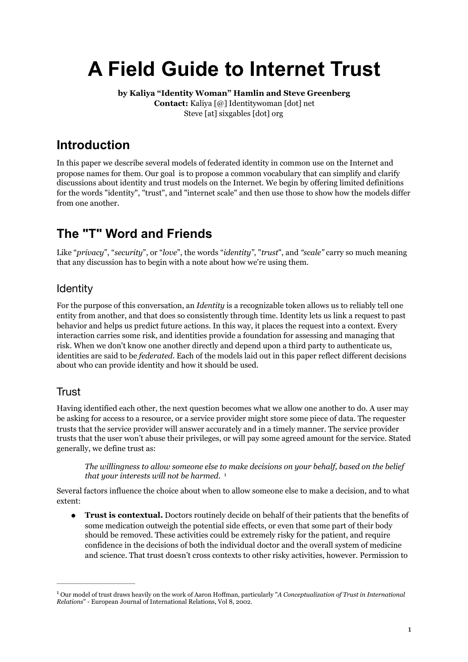# **A Field Guide to Internet Trust**

**by Kaliya "Identity Woman" Hamlin and Steve Greenberg Contact:** Kaliya [@] Identitywoman [dot] net Steve [at] sixgables [dot] org

### **Introduction**

In this paper we describe several models of federated identity in common use on the Internet and propose names for them. Our goal is to propose a common vocabulary that can simplify and clarify discussions about identity and trust models on the Internet. We begin by offering limited definitions for the words "identity", "trust", and "internet scale" and then use those to show how the models differ from one another.

### **The "T" Word and Friends**

Like "*privacy*", "*security*", or "*love*", the words "*identity"*, "*trust*", and *"scale"* carry so much meaning that any discussion has to begin with a note about how we're using them.

#### Identity

For the purpose of this conversation, an *Identity* is a recognizable token allows us to reliably tell one entity from another, and that does so consistently through time. Identity lets us link a request to past behavior and helps us predict future actions. In this way, it places the request into a context. Every interaction carries some risk, and identities provide a foundation for assessing and managing that risk. When we don't know one another directly and depend upon a third party to authenticate us, identities are said to be *federated*. Each of the models laid out in this paper reflect different decisions about who can provide identity and how it should be used.

### **Trust**

Having identified each other, the next question becomes what we allow one another to do. A user may be asking for access to a resource, or a service provider might store some piece of data. The requester trusts that the service provider will answer accurately and in a timely manner. The service provider trusts that the user won't abuse their privileges, or will pay some agreed amount for the service. Stated generally, we define trust as:

<span id="page-0-1"></span>*The willingness to allow someone else to make decisions on your behalf, based on the belief that your interests will not be harmed.* <sup>[1](#page-0-0)</sup>

Several factors influence the choice about when to allow someone else to make a decision, and to what extent:

● **Trust is contextual.** Doctors routinely decide on behalf of their patients that the benefits of some medication outweigh the potential side effects, or even that some part of their body should be removed. These activities could be extremely risky for the patient, and require confidence in the decisions of both the individual doctor and the overall system of medicine and science. That trust doesn't cross contexts to other risky activities, however. Permission to

<span id="page-0-0"></span>Our model of trust draws heavily on the work of Aaron Hoffman, particularly "*A Conceptualization of Trust in International* [1](#page-0-1) *Relations*" - European Journal of International Relations, Vol 8, 2002.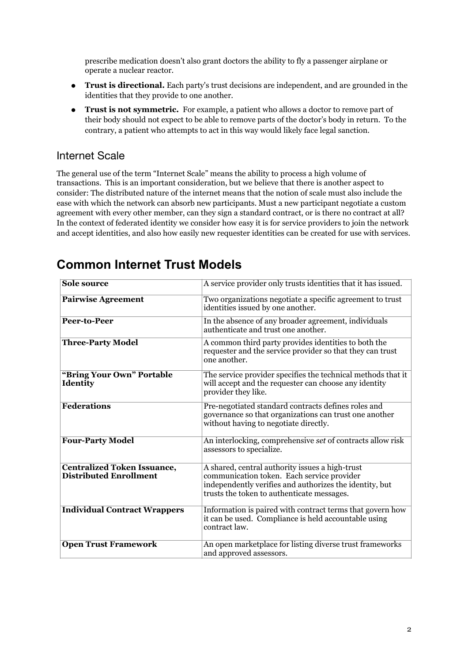prescribe medication doesn't also grant doctors the ability to fly a passenger airplane or operate a nuclear reactor.

- **Trust is directional.** Each party's trust decisions are independent, and are grounded in the identities that they provide to one another.
- **Trust is not symmetric.** For example, a patient who allows a doctor to remove part of their body should not expect to be able to remove parts of the doctor's body in return. To the contrary, a patient who attempts to act in this way would likely face legal sanction.

#### Internet Scale

The general use of the term "Internet Scale" means the ability to process a high volume of transactions. This is an important consideration, but we believe that there is another aspect to consider: The distributed nature of the internet means that the notion of scale must also include the ease with which the network can absorb new participants. Must a new participant negotiate a custom agreement with every other member, can they sign a standard contract, or is there no contract at all? In the context of federated identity we consider how easy it is for service providers to join the network and accept identities, and also how easily new requester identities can be created for use with services.

| <b>Sole source</b>                                                  | A service provider only trusts identities that it has issued.                                                                                                                                          |
|---------------------------------------------------------------------|--------------------------------------------------------------------------------------------------------------------------------------------------------------------------------------------------------|
| Pairwise Agreement                                                  | Two organizations negotiate a specific agreement to trust<br>identities issued by one another.                                                                                                         |
| Peer-to-Peer                                                        | In the absence of any broader agreement, individuals<br>authenticate and trust one another.                                                                                                            |
| <b>Three-Party Model</b>                                            | A common third party provides identities to both the<br>requester and the service provider so that they can trust<br>one another.                                                                      |
| "Bring Your Own" Portable<br><b>Identity</b>                        | The service provider specifies the technical methods that it<br>will accept and the requester can choose any identity<br>provider they like.                                                           |
| <b>Federations</b>                                                  | Pre-negotiated standard contracts defines roles and<br>governance so that organizations can trust one another<br>without having to negotiate directly.                                                 |
| <b>Four-Party Model</b>                                             | An interlocking, comprehensive set of contracts allow risk<br>assessors to specialize.                                                                                                                 |
| <b>Centralized Token Issuance,</b><br><b>Distributed Enrollment</b> | A shared, central authority issues a high-trust<br>communication token. Each service provider<br>independently verifies and authorizes the identity, but<br>trusts the token to authenticate messages. |
| <b>Individual Contract Wrappers</b>                                 | Information is paired with contract terms that govern how<br>it can be used. Compliance is held accountable using<br>contract law.                                                                     |
| <b>Open Trust Framework</b>                                         | An open marketplace for listing diverse trust frameworks<br>and approved assessors.                                                                                                                    |

### **Common Internet Trust Models**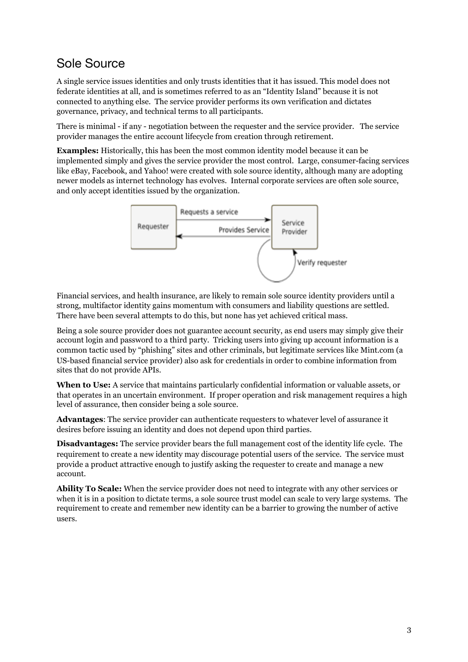### Sole Source

A single service issues identities and only trusts identities that it has issued. This model does not federate identities at all, and is sometimes referred to as an "Identity Island" because it is not connected to anything else. The service provider performs its own verification and dictates governance, privacy, and technical terms to all participants.

There is minimal - if any - negotiation between the requester and the service provider. The service provider manages the entire account lifecycle from creation through retirement.

**Examples:** Historically, this has been the most common identity model because it can be implemented simply and gives the service provider the most control. Large, consumer-facing services like eBay, Facebook, and Yahoo! were created with sole source identity, although many are adopting newer models as internet technology has evolves. Internal corporate services are often sole source, and only accept identities issued by the organization.



Financial services, and health insurance, are likely to remain sole source identity providers until a strong, multifactor identity gains momentum with consumers and liability questions are settled. There have been several attempts to do this, but none has yet achieved critical mass.

Being a sole source provider does not guarantee account security, as end users may simply give their account login and password to a third party. Tricking users into giving up account information is a common tactic used by "phishing" sites and other criminals, but legitimate services like Mint.com (a US-based financial service provider) also ask for credentials in order to combine information from sites that do not provide APIs.

**When to Use:** A service that maintains particularly confidential information or valuable assets, or that operates in an uncertain environment. If proper operation and risk management requires a high level of assurance, then consider being a sole source.

**Advantages**: The service provider can authenticate requesters to whatever level of assurance it desires before issuing an identity and does not depend upon third parties.

**Disadvantages:** The service provider bears the full management cost of the identity life cycle. The requirement to create a new identity may discourage potential users of the service. The service must provide a product attractive enough to justify asking the requester to create and manage a new account.

**Ability To Scale:** When the service provider does not need to integrate with any other services or when it is in a position to dictate terms, a sole source trust model can scale to very large systems. The requirement to create and remember new identity can be a barrier to growing the number of active users.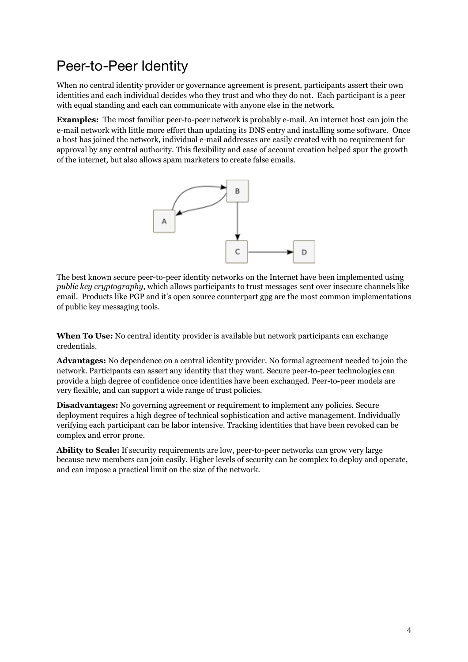### Peer-to-Peer Identity

When no central identity provider or governance agreement is present, participants assert their own identities and each individual decides who they trust and who they do not. Each participant is a peer with equal standing and each can communicate with anyone else in the network.

**Examples:** The most familiar peer-to-peer network is probably e-mail. An internet host can join the e-mail network with little more effort than updating its DNS entry and installing some software. Once a host has joined the network, individual e-mail addresses are easily created with no requirement for approval by any central authority. This flexibility and ease of account creation helped spur the growth of the internet, but also allows spam marketers to create false emails.



The best known secure peer-to-peer identity networks on the Internet have been implemented using *public key cryptography*, which allows participants to trust messages sent over insecure channels like email. Products like PGP and it's open source counterpart gpg are the most common implementations of public key messaging tools.

**When To Use:** No central identity provider is available but network participants can exchange credentials.

**Advantages:** No dependence on a central identity provider. No formal agreement needed to join the network. Participants can assert any identity that they want. Secure peer-to-peer technologies can provide a high degree of confidence once identities have been exchanged. Peer-to-peer models are very flexible, and can support a wide range of trust policies.

**Disadvantages:** No governing agreement or requirement to implement any policies. Secure deployment requires a high degree of technical sophistication and active management. Individually verifying each participant can be labor intensive. Tracking identities that have been revoked can be complex and error prone.

**Ability to Scale:** If security requirements are low, peer-to-peer networks can grow very large because new members can join easily. Higher levels of security can be complex to deploy and operate, and can impose a practical limit on the size of the network.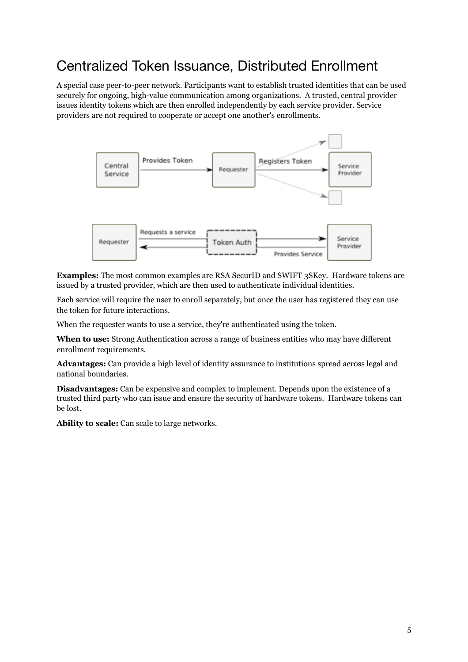### Centralized Token Issuance, Distributed Enrollment

A special case peer-to-peer network. Participants want to establish trusted identities that can be used securely for ongoing, high-value communication among organizations. A trusted, central provider issues identity tokens which are then enrolled independently by each service provider. Service providers are not required to cooperate or accept one another's enrollments.



**Examples:** The most common examples are RSA SecurID and SWIFT 3SKey. Hardware tokens are issued by a trusted provider, which are then used to authenticate individual identities.

Each service will require the user to enroll separately, but once the user has registered they can use the token for future interactions.

When the requester wants to use a service, they're authenticated using the token.

**When to use:** Strong Authentication across a range of business entities who may have different enrollment requirements.

**Advantages:** Can provide a high level of identity assurance to institutions spread across legal and national boundaries.

**Disadvantages:** Can be expensive and complex to implement. Depends upon the existence of a trusted third party who can issue and ensure the security of hardware tokens. Hardware tokens can be lost.

**Ability to scale:** Can scale to large networks.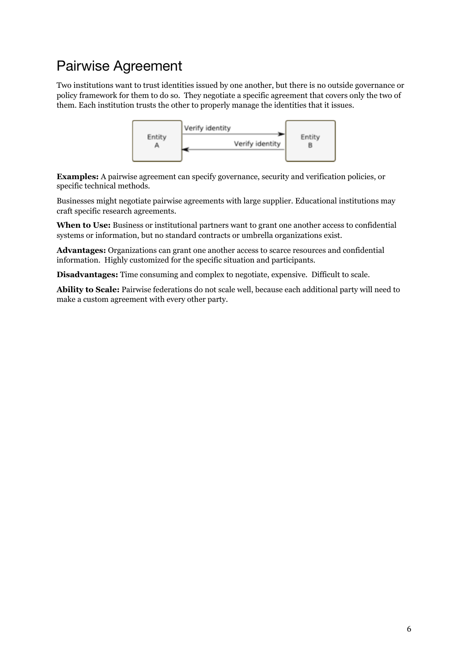# Pairwise Agreement

Two institutions want to trust identities issued by one another, but there is no outside governance or policy framework for them to do so. They negotiate a specific agreement that covers only the two of them. Each institution trusts the other to properly manage the identities that it issues.



**Examples:** A pairwise agreement can specify governance, security and verification policies, or specific technical methods.

Businesses might negotiate pairwise agreements with large supplier. Educational institutions may craft specific research agreements.

**When to Use:** Business or institutional partners want to grant one another access to confidential systems or information, but no standard contracts or umbrella organizations exist.

**Advantages:** Organizations can grant one another access to scarce resources and confidential information. Highly customized for the specific situation and participants.

**Disadvantages:** Time consuming and complex to negotiate, expensive. Difficult to scale.

**Ability to Scale:** Pairwise federations do not scale well, because each additional party will need to make a custom agreement with every other party.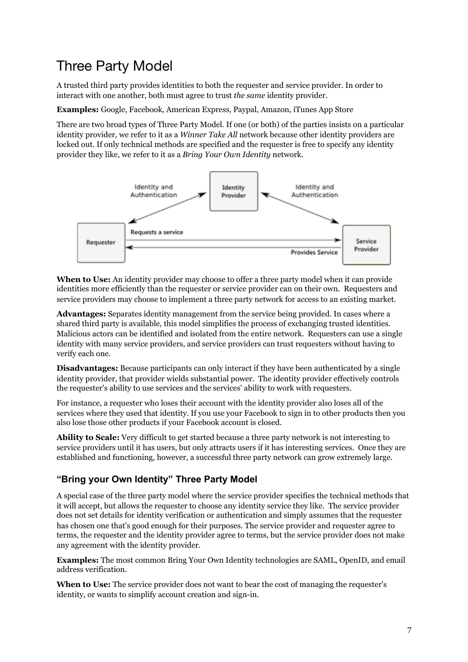### Three Party Model

A trusted third party provides identities to both the requester and service provider. In order to interact with one another, both must agree to trust *the same* identity provider.

**Examples:** Google, Facebook, American Express, Paypal, Amazon, iTunes App Store

There are two broad types of Three Party Model. If one (or both) of the parties insists on a particular identity provider, we refer to it as a *Winner Take All* network because other identity providers are locked out. If only technical methods are specified and the requester is free to specify any identity provider they like, we refer to it as a *Bring Your Own Identity* network.



**When to Use:** An identity provider may choose to offer a three party model when it can provide identities more efficiently than the requester or service provider can on their own. Requesters and service providers may choose to implement a three party network for access to an existing market.

**Advantages:** Separates identity management from the service being provided. In cases where a shared third party is available, this model simplifies the process of exchanging trusted identities. Malicious actors can be identified and isolated from the entire network. Requesters can use a single identity with many service providers, and service providers can trust requesters without having to verify each one.

**Disadvantages:** Because participants can only interact if they have been authenticated by a single identity provider, that provider wields substantial power. The identity provider effectively controls the requester's ability to use services and the services' ability to work with requesters.

For instance, a requester who loses their account with the identity provider also loses all of the services where they used that identity. If you use your Facebook to sign in to other products then you also lose those other products if your Facebook account is closed.

**Ability to Scale:** Very difficult to get started because a three party network is not interesting to service providers until it has users, but only attracts users if it has interesting services. Once they are established and functioning, however, a successful three party network can grow extremely large.

#### **"Bring your Own Identity" Three Party Model**

A special case of the three party model where the service provider specifies the technical methods that it will accept, but allows the requester to choose any identity service they like. The service provider does not set details for identity verification or authentication and simply assumes that the requester has chosen one that's good enough for their purposes. The service provider and requester agree to terms, the requester and the identity provider agree to terms, but the service provider does not make any agreement with the identity provider.

**Examples:** The most common Bring Your Own Identity technologies are SAML, OpenID, and email address verification.

**When to Use:** The service provider does not want to bear the cost of managing the requester's identity, or wants to simplify account creation and sign-in.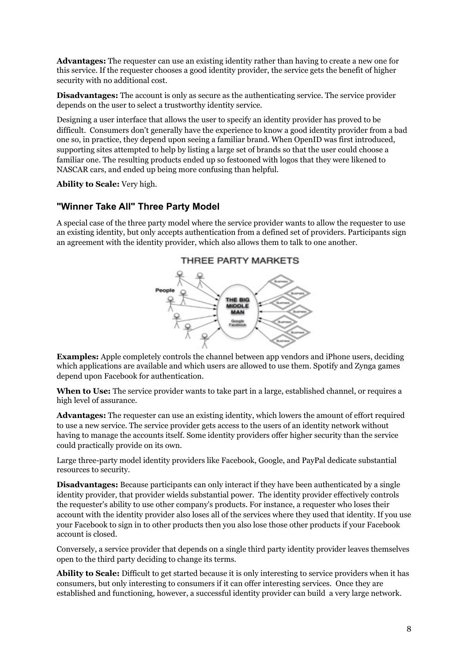**Advantages:** The requester can use an existing identity rather than having to create a new one for this service. If the requester chooses a good identity provider, the service gets the benefit of higher security with no additional cost.

**Disadvantages:** The account is only as secure as the authenticating service. The service provider depends on the user to select a trustworthy identity service.

Designing a user interface that allows the user to specify an identity provider has proved to be difficult. Consumers don't generally have the experience to know a good identity provider from a bad one so, in practice, they depend upon seeing a familiar brand. When OpenID was first introduced, supporting sites attempted to help by listing a large set of brands so that the user could choose a familiar one. The resulting products ended up so festooned with logos that they were likened to NASCAR cars, and ended up being more confusing than helpful.

**Ability to Scale:** Very high.

#### **"Winner Take All" Three Party Model**

A special case of the three party model where the service provider wants to allow the requester to use an existing identity, but only accepts authentication from a defined set of providers. Participants sign an agreement with the identity provider, which also allows them to talk to one another.



**Examples:** Apple completely controls the channel between app vendors and iPhone users, deciding which applications are available and which users are allowed to use them. Spotify and Zynga games depend upon Facebook for authentication.

**When to Use:** The service provider wants to take part in a large, established channel, or requires a high level of assurance.

**Advantages:** The requester can use an existing identity, which lowers the amount of effort required to use a new service. The service provider gets access to the users of an identity network without having to manage the accounts itself. Some identity providers offer higher security than the service could practically provide on its own.

Large three-party model identity providers like Facebook, Google, and PayPal dedicate substantial resources to security.

**Disadvantages:** Because participants can only interact if they have been authenticated by a single identity provider, that provider wields substantial power. The identity provider effectively controls the requester's ability to use other company's products. For instance, a requester who loses their account with the identity provider also loses all of the services where they used that identity. If you use your Facebook to sign in to other products then you also lose those other products if your Facebook account is closed.

Conversely, a service provider that depends on a single third party identity provider leaves themselves open to the third party deciding to change its terms.

**Ability to Scale:** Difficult to get started because it is only interesting to service providers when it has consumers, but only interesting to consumers if it can offer interesting services. Once they are established and functioning, however, a successful identity provider can build a very large network.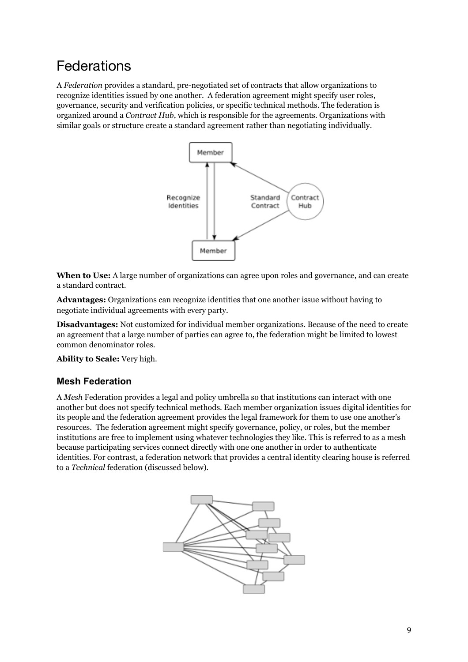# Federations

A *Federation* provides a standard, pre-negotiated set of contracts that allow organizations to recognize identities issued by one another. A federation agreement might specify user roles, governance, security and verification policies, or specific technical methods. The federation is organized around a *Contract Hub*, which is responsible for the agreements. Organizations with similar goals or structure create a standard agreement rather than negotiating individually.



**When to Use:** A large number of organizations can agree upon roles and governance, and can create a standard contract.

**Advantages:** Organizations can recognize identities that one another issue without having to negotiate individual agreements with every party.

**Disadvantages:** Not customized for individual member organizations. Because of the need to create an agreement that a large number of parties can agree to, the federation might be limited to lowest common denominator roles.

**Ability to Scale:** Very high.

#### **Mesh Federation**

A *Mesh* Federation provides a legal and policy umbrella so that institutions can interact with one another but does not specify technical methods. Each member organization issues digital identities for its people and the federation agreement provides the legal framework for them to use one another's resources. The federation agreement might specify governance, policy, or roles, but the member institutions are free to implement using whatever technologies they like. This is referred to as a mesh because participating services connect directly with one one another in order to authenticate identities. For contrast, a federation network that provides a central identity clearing house is referred to a *Technical* federation (discussed below).

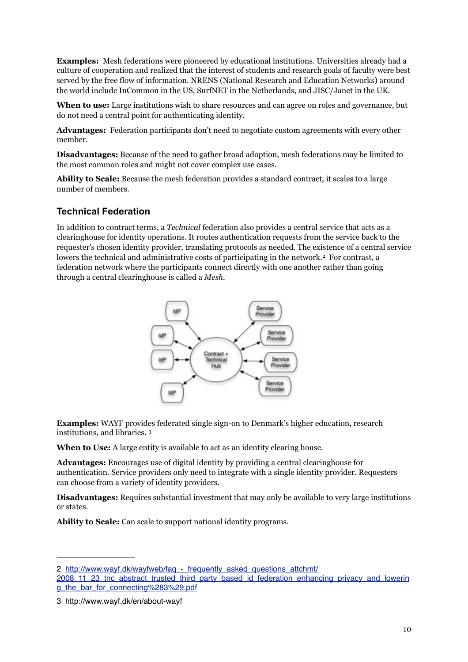**Examples:** Mesh federations were pioneered by educational institutions. Universities already had a culture of cooperation and realized that the interest of students and research goals of faculty were best served by the free flow of information. NRENS (National Research and Education Networks) around the world include InCommon in the US, SurfNET in the Netherlands, and JISC/Janet in the UK.

**When to use:** Large institutions wish to share resources and can agree on roles and governance, but do not need a central point for authenticating identity.

**Advantages:** Federation participants don't need to negotiate custom agreements with every other member.

**Disadvantages:** Because of the need to gather broad adoption, mesh federations may be limited to the most common roles and might not cover complex use cases.

**Ability to Scale:** Because the mesh federation provides a standard contract, it scales to a large number of members.

#### **Technical Federation**

In addition to contract terms, a *Technical* federation also provides a central service that acts as a clearinghouse for identity operations. It routes authentication requests from the service back to the requester's chosen identity provider, translating protocols as needed. The existence of a central service lowers the technical and administrative costs of participating in the network.<sup>[2](#page-9-0)</sup> For contrast, a federation network where the participants connect directly with one another rather than going through a central clearinghouse is called a *Mesh*.

<span id="page-9-2"></span>

**Examples:** WAYF provides federated single sign-on to Denmark's higher education, research institutions, and libraries. [3](#page-9-1)

<span id="page-9-3"></span>**When to Use:** A large entity is available to act as an identity clearing house.

**Advantages:** Encourages use of digital identity by providing a central clearinghouse for authentication. Service providers only need to integrate with a single identity provider. Requesters can choose from a variety of identity providers.

**Disadvantages:** Requires substantial investment that may only be available to very large institutions or states.

**Ability to Scale:** Can scale to support national identity programs.

<span id="page-9-0"></span>[<sup>2</sup>](#page-9-2) http://www.wayf.dk/wayfweb/faq - frequently\_asked\_questions\_attchmt/

[<sup>2008</sup>\\_11\\_23\\_tnc\\_abstract\\_trusted\\_third\\_party\\_based\\_id\\_federation\\_enhancing\\_privacy\\_and\\_lowerin](http://www.wayf.dk/wayfweb/faq_-_frequently_asked_questions_attchmt/2008_11_23_tnc_abstract_trusted_third_party_based_id_federation_enhancing_privacy_and_lowering_the_bar_for_connecting%283%29.pdf) g\_the\_bar\_for\_connecting%283%29.pdf

<span id="page-9-1"></span>[<sup>3</sup>](#page-9-3) http://www.wayf.dk/en/about-wayf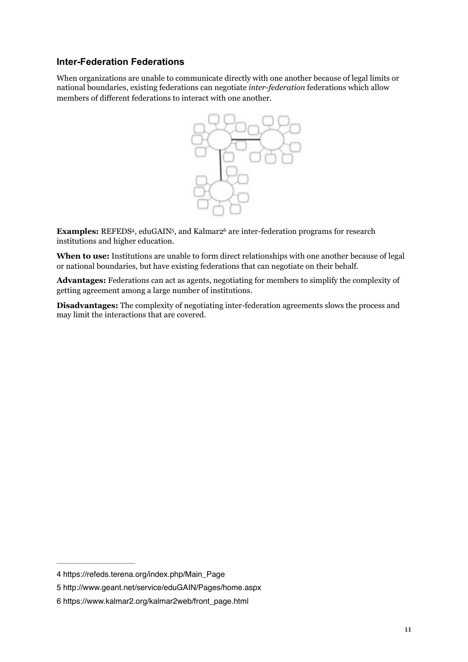#### **Inter-Federation Federations**

When organizations are unable to communicate directly with one another because of legal limits or national boundaries, existing federations can negotiate *inter-federation* federations which allow members of different federations to interact with one another.

<span id="page-10-5"></span>

<span id="page-10-4"></span><span id="page-10-3"></span>**Examples:** REFEDS<sup>4</sup>[,](#page-10-1) eduGAIN<sup>5</sup>, and Kalmar<sub>[2](#page-10-2)</sub><sup>6</sup> are inter-federation programs for research institutions and higher education.

**When to use:** Institutions are unable to form direct relationships with one another because of legal or national boundaries, but have existing federations that can negotiate on their behalf.

**Advantages:** Federations can act as agents, negotiating for members to simplify the complexity of getting agreement among a large number of institutions.

**Disadvantages:** The complexity of negotiating inter-federation agreements slows the process and may limit the interactions that are covered.

<span id="page-10-0"></span>[<sup>4</sup>](#page-10-3) https://refeds.terena.org/index.php/Main\_Page

<span id="page-10-1"></span>[<sup>5</sup>](#page-10-4) http://www.geant.net/service/eduGAIN/Pages/home.aspx

<span id="page-10-2"></span>[<sup>6</sup>](#page-10-5) https://www.kalmar2.org/kalmar2web/front\_page.html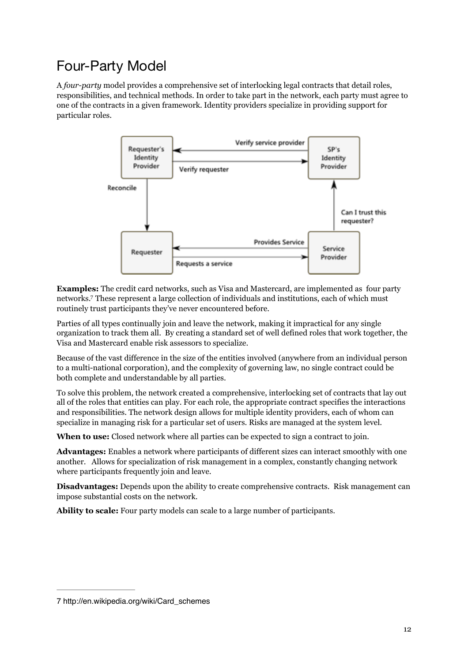# Four-Party Model

A *four-party* model provides a comprehensive set of interlocking legal contracts that detail roles, responsibilities, and technical methods. In order to take part in the network, each party must agree to one of the contracts in a given framework. Identity providers specialize in providing support for particular roles.



<span id="page-11-1"></span>**Examples:** The credit card networks, such as Visa and Mastercard, are implemented as four party networks[.](#page-11-0) These represent a large collection of individuals and institutions, each of which must [7](#page-11-0) routinely trust participants they've never encountered before.

Parties of all types continually join and leave the network, making it impractical for any single organization to track them all. By creating a standard set of well defined roles that work together, the Visa and Mastercard enable risk assessors to specialize.

Because of the vast difference in the size of the entities involved (anywhere from an individual person to a multi-national corporation), and the complexity of governing law, no single contract could be both complete and understandable by all parties.

To solve this problem, the network created a comprehensive, interlocking set of contracts that lay out all of the roles that entities can play. For each role, the appropriate contract specifies the interactions and responsibilities. The network design allows for multiple identity providers, each of whom can specialize in managing risk for a particular set of users. Risks are managed at the system level.

**When to use:** Closed network where all parties can be expected to sign a contract to join.

**Advantages:** Enables a network where participants of different sizes can interact smoothly with one another. Allows for specialization of risk management in a complex, constantly changing network where participants frequently join and leave.

**Disadvantages:** Depends upon the ability to create comprehensive contracts. Risk management can impose substantial costs on the network.

**Ability to scale:** Four party models can scale to a large number of participants.

<span id="page-11-0"></span>[<sup>7</sup>](#page-11-1) http://en.wikipedia.org/wiki/Card\_schemes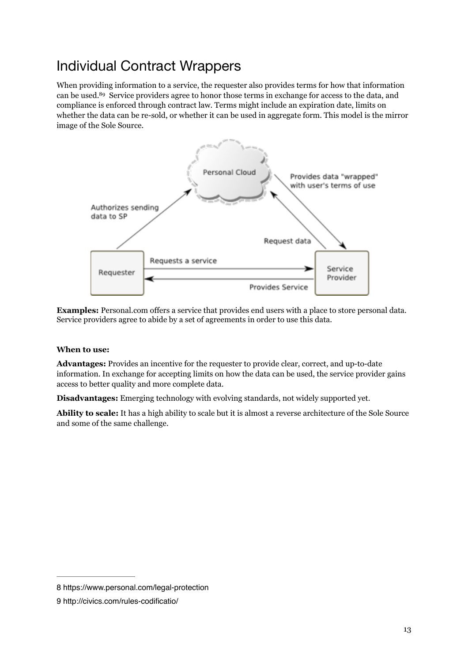## Individual Contract Wrappers

When providing information to a service, the requester also provides terms for how that information can be used[.](#page-12-0)<sup>89</sup>Service providers agree to honor those terms in exchange for access to the data, and compliance is enforced through contract law. Terms might include an expiration date, limits on whether the data can be re-sold, or whether it can be used in aggregate form. This model is the mirror image of the Sole Source.

<span id="page-12-3"></span><span id="page-12-2"></span>

**Examples:** Personal.com offers a service that provides end users with a place to store personal data. Service providers agree to abide by a set of agreements in order to use this data.

#### **When to use:**

**Advantages:** Provides an incentive for the requester to provide clear, correct, and up-to-date information. In exchange for accepting limits on how the data can be used, the service provider gains access to better quality and more complete data.

**Disadvantages:** Emerging technology with evolving standards, not widely supported yet.

**Ability to scale:** It has a high ability to scale but it is almost a reverse architecture of the Sole Source and some of the same challenge.

<span id="page-12-0"></span>[<sup>8</sup>](#page-12-2) https://www.personal.com/legal-protection

<span id="page-12-1"></span>[<sup>9</sup>](#page-12-3) http://civics.com/rules-codificatio/